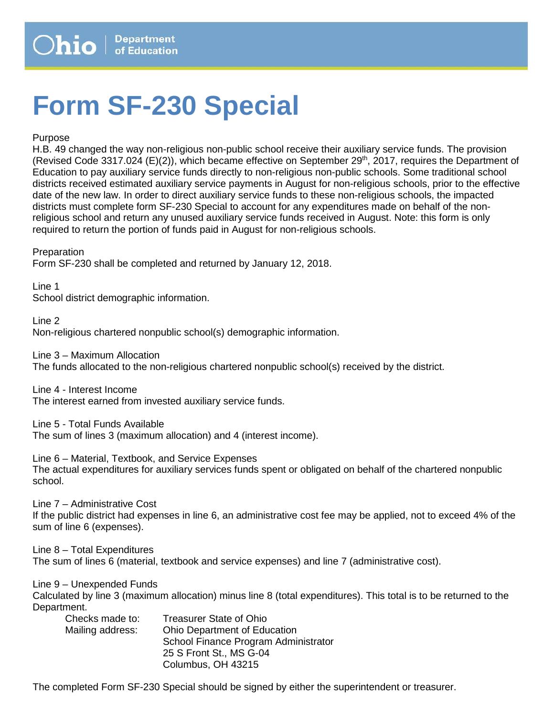## **Form SF-230 Special**

Purpose

H.B. 49 changed the way non-religious non-public school receive their auxiliary service funds. The provision (Revised Code 3317.024 (E)(2)), which became effective on September 29<sup>th</sup>, 2017, requires the Department of Education to pay auxiliary service funds directly to non-religious non-public schools. Some traditional school districts received estimated auxiliary service payments in August for non-religious schools, prior to the effective date of the new law. In order to direct auxiliary service funds to these non-religious schools, the impacted districts must complete form SF-230 Special to account for any expenditures made on behalf of the nonreligious school and return any unused auxiliary service funds received in August. Note: this form is only required to return the portion of funds paid in August for non-religious schools.

Preparation

Form SF-230 shall be completed and returned by January 12, 2018.

Line 1 School district demographic information.

Line 2 Non-religious chartered nonpublic school(s) demographic information.

Line 3 – Maximum Allocation The funds allocated to the non-religious chartered nonpublic school(s) received by the district.

Line 4 - Interest Income The interest earned from invested auxiliary service funds.

Line 5 - Total Funds Available The sum of lines 3 (maximum allocation) and 4 (interest income).

Line 6 – Material, Textbook, and Service Expenses The actual expenditures for auxiliary services funds spent or obligated on behalf of the chartered nonpublic school.

Line 7 – Administrative Cost If the public district had expenses in line 6, an administrative cost fee may be applied, not to exceed 4% of the sum of line 6 (expenses).

Line 8 – Total Expenditures

The sum of lines 6 (material, textbook and service expenses) and line 7 (administrative cost).

Line 9 – Unexpended Funds

Calculated by line 3 (maximum allocation) minus line 8 (total expenditures). This total is to be returned to the Department.

| Checks made to:  | <b>Treasurer State of Ohio</b>       |
|------------------|--------------------------------------|
| Mailing address: | <b>Ohio Department of Education</b>  |
|                  | School Finance Program Administrator |
|                  | 25 S Front St., MS G-04              |
|                  | Columbus, OH 43215                   |

The completed Form SF-230 Special should be signed by either the superintendent or treasurer.